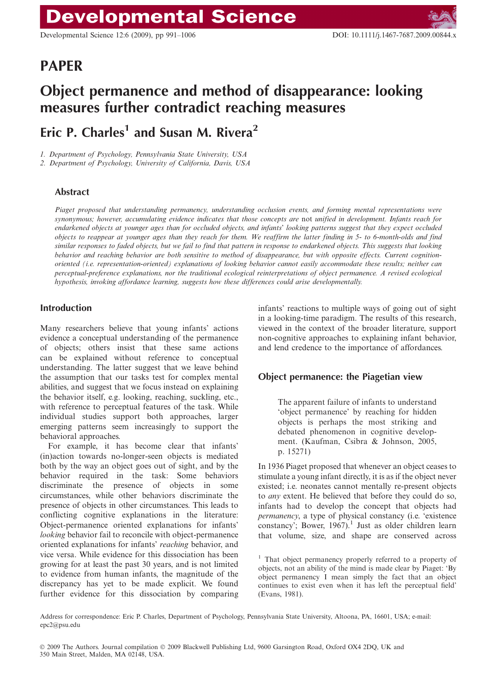# PAPER

# Object permanence and method of disappearance: looking measures further contradict reaching measures

# Eric P. Charles<sup>1</sup> and Susan M. Rivera<sup>2</sup>

1. Department of Psychology, Pennsylvania State University, USA

2. Department of Psychology, University of California, Davis, USA

# Abstract

Piaget proposed that understanding permanency, understanding occlusion events, and forming mental representations were synonymous; however, accumulating evidence indicates that those concepts are not unified in development. Infants reach for endarkened objects at younger ages than for occluded objects, and infants' looking patterns suggest that they expect occluded objects to reappear at younger ages than they reach for them. We reaffirm the latter finding in 5- to 6-month-olds and find similar responses to faded objects, but we fail to find that pattern in response to endarkened objects. This suggests that looking behavior and reaching behavior are both sensitive to method of disappearance, but with opposite effects. Current cognitionoriented (i.e. representation-oriented) explanations of looking behavior cannot easily accommodate these results; neither can perceptual-preference explanations, nor the traditional ecological reinterpretations of object permanence. A revised ecological hypothesis, invoking affordance learning, suggests how these differences could arise developmentally.

# Introduction

Many researchers believe that young infants' actions evidence a conceptual understanding of the permanence of objects; others insist that these same actions can be explained without reference to conceptual understanding. The latter suggest that we leave behind the assumption that our tasks test for complex mental abilities, and suggest that we focus instead on explaining the behavior itself, e.g. looking, reaching, suckling, etc., with reference to perceptual features of the task. While individual studies support both approaches, larger emerging patterns seem increasingly to support the behavioral approaches.

For example, it has become clear that infants' (in)action towards no-longer-seen objects is mediated both by the way an object goes out of sight, and by the behavior required in the task: Some behaviors discriminate the presence of objects in some circumstances, while other behaviors discriminate the presence of objects in other circumstances. This leads to conflicting cognitive explanations in the literature: Object-permanence oriented explanations for infants' looking behavior fail to reconcile with object-permanence oriented explanations for infants' reaching behavior, and vice versa. While evidence for this dissociation has been growing for at least the past 30 years, and is not limited to evidence from human infants, the magnitude of the discrepancy has yet to be made explicit. We found further evidence for this dissociation by comparing infants' reactions to multiple ways of going out of sight in a looking-time paradigm. The results of this research, viewed in the context of the broader literature, support non-cognitive approaches to explaining infant behavior, and lend credence to the importance of affordances.

# Object permanence: the Piagetian view

The apparent failure of infants to understand 'object permanence' by reaching for hidden objects is perhaps the most striking and debated phenomenon in cognitive development. (Kaufman, Csibra & Johnson, 2005, p. 15271)

In 1936 Piaget proposed that whenever an object ceases to stimulate a young infant directly, it is as if the object never existed; i.e. neonates cannot mentally re-present objects to any extent. He believed that before they could do so, infants had to develop the concept that objects had permanency, a type of physical constancy (i.e. 'existence constancy'; Bower,  $1967$ ).<sup>1</sup> Just as older children learn that volume, size, and shape are conserved across

<sup>1</sup> That object permanency properly referred to a property of objects, not an ability of the mind is made clear by Piaget: 'By object permanency I mean simply the fact that an object continues to exist even when it has left the perceptual field' (Evans, 1981).

Address for correspondence: Eric P. Charles, Department of Psychology, Pennsylvania State University, Altoona, PA, 16601, USA; e-mail: epc2@psu.edu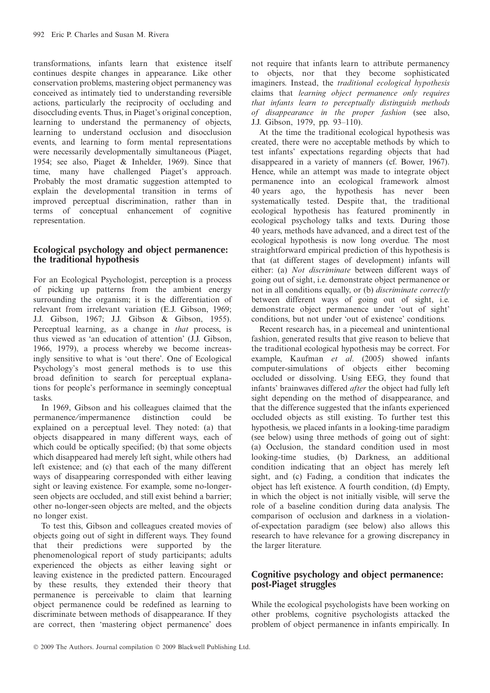transformations, infants learn that existence itself continues despite changes in appearance. Like other conservation problems, mastering object permanency was conceived as intimately tied to understanding reversible actions, particularly the reciprocity of occluding and disoccluding events. Thus, in Piaget's original conception, learning to understand the permanency of objects, learning to understand occlusion and disocclusion events, and learning to form mental representations were necessarily developmentally simultaneous (Piaget, 1954; see also, Piaget & Inhelder, 1969). Since that time, many have challenged Piaget's approach. Probably the most dramatic suggestion attempted to explain the developmental transition in terms of improved perceptual discrimination, rather than in terms of conceptual enhancement of cognitive representation.

# Ecological psychology and object permanence: the traditional hypothesis

For an Ecological Psychologist, perception is a process of picking up patterns from the ambient energy surrounding the organism; it is the differentiation of relevant from irrelevant variation (E.J. Gibson, 1969; J.J. Gibson, 1967; J.J. Gibson & Gibson, 1955). Perceptual learning, as a change in that process, is thus viewed as 'an education of attention' (J.J. Gibson, 1966, 1979), a process whereby we become increasingly sensitive to what is 'out there'. One of Ecological Psychology's most general methods is to use this broad definition to search for perceptual explanations for people's performance in seemingly conceptual tasks.

In 1969, Gibson and his colleagues claimed that the permanence ⁄ impermanence distinction could be explained on a perceptual level. They noted: (a) that objects disappeared in many different ways, each of which could be optically specified; (b) that some objects which disappeared had merely left sight, while others had left existence; and (c) that each of the many different ways of disappearing corresponded with either leaving sight or leaving existence. For example, some no-longerseen objects are occluded, and still exist behind a barrier; other no-longer-seen objects are melted, and the objects no longer exist.

To test this, Gibson and colleagues created movies of objects going out of sight in different ways. They found that their predictions were supported by the phenomenological report of study participants; adults experienced the objects as either leaving sight or leaving existence in the predicted pattern. Encouraged by these results, they extended their theory that permanence is perceivable to claim that learning object permanence could be redefined as learning to discriminate between methods of disappearance. If they are correct, then 'mastering object permanence' does

not require that infants learn to attribute permanency to objects, nor that they become sophisticated imaginers. Instead, the traditional ecological hypothesis claims that learning object permanence only requires that infants learn to perceptually distinguish methods of disappearance in the proper fashion (see also, J.J. Gibson, 1979, pp. 93–110).

At the time the traditional ecological hypothesis was created, there were no acceptable methods by which to test infants' expectations regarding objects that had disappeared in a variety of manners (cf. Bower, 1967). Hence, while an attempt was made to integrate object permanence into an ecological framework almost 40 years ago, the hypothesis has never been systematically tested. Despite that, the traditional ecological hypothesis has featured prominently in ecological psychology talks and texts. During those 40 years, methods have advanced, and a direct test of the ecological hypothesis is now long overdue. The most straightforward empirical prediction of this hypothesis is that (at different stages of development) infants will either: (a) Not discriminate between different ways of going out of sight, i.e. demonstrate object permanence or not in all conditions equally, or (b) discriminate correctly between different ways of going out of sight, i.e. demonstrate object permanence under 'out of sight' conditions, but not under 'out of existence' conditions.

Recent research has, in a piecemeal and unintentional fashion, generated results that give reason to believe that the traditional ecological hypothesis may be correct. For example, Kaufman et al. (2005) showed infants computer-simulations of objects either becoming occluded or dissolving. Using EEG, they found that infants' brainwaves differed after the object had fully left sight depending on the method of disappearance, and that the difference suggested that the infants experienced occluded objects as still existing. To further test this hypothesis, we placed infants in a looking-time paradigm (see below) using three methods of going out of sight: (a) Occlusion, the standard condition used in most looking-time studies, (b) Darkness, an additional condition indicating that an object has merely left sight, and (c) Fading, a condition that indicates the object has left existence. A fourth condition, (d) Empty, in which the object is not initially visible, will serve the role of a baseline condition during data analysis. The comparison of occlusion and darkness in a violationof-expectation paradigm (see below) also allows this research to have relevance for a growing discrepancy in the larger literature.

# Cognitive psychology and object permanence: post-Piaget struggles

While the ecological psychologists have been working on other problems, cognitive psychologists attacked the problem of object permanence in infants empirically. In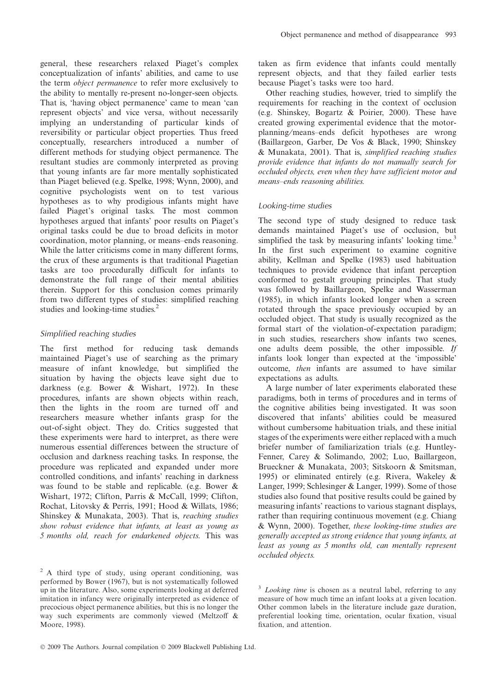general, these researchers relaxed Piaget's complex conceptualization of infants' abilities, and came to use the term object permanence to refer more exclusively to the ability to mentally re-present no-longer-seen objects. That is, 'having object permanence' came to mean 'can represent objects' and vice versa, without necessarily implying an understanding of particular kinds of reversibility or particular object properties. Thus freed conceptually, researchers introduced a number of different methods for studying object permanence. The resultant studies are commonly interpreted as proving that young infants are far more mentally sophisticated than Piaget believed (e.g. Spelke, 1998; Wynn, 2000), and cognitive psychologists went on to test various hypotheses as to why prodigious infants might have failed Piaget's original tasks. The most common hypotheses argued that infants' poor results on Piaget's original tasks could be due to broad deficits in motor coordination, motor planning, or means–ends reasoning. While the latter criticisms come in many different forms, the crux of these arguments is that traditional Piagetian tasks are too procedurally difficult for infants to demonstrate the full range of their mental abilities therein. Support for this conclusion comes primarily from two different types of studies: simplified reaching studies and looking-time studies.<sup>2</sup>

## Simplified reaching studies

The first method for reducing task demands maintained Piaget's use of searching as the primary measure of infant knowledge, but simplified the situation by having the objects leave sight due to darkness (e.g. Bower & Wishart, 1972). In these procedures, infants are shown objects within reach, then the lights in the room are turned off and researchers measure whether infants grasp for the out-of-sight object. They do. Critics suggested that these experiments were hard to interpret, as there were numerous essential differences between the structure of occlusion and darkness reaching tasks. In response, the procedure was replicated and expanded under more controlled conditions, and infants' reaching in darkness was found to be stable and replicable. (e.g. Bower & Wishart, 1972; Clifton, Parris & McCall, 1999; Clifton, Rochat, Litovsky & Perris, 1991; Hood & Willats, 1986; Shinskey & Munakata, 2003). That is, reaching studies show robust evidence that infants, at least as young as 5 months old, reach for endarkened objects. This was

 $2 \text{ A}$  third type of study, using operant conditioning, was performed by Bower (1967), but is not systematically followed up in the literature. Also, some experiments looking at deferred imitation in infancy were originally interpreted as evidence of precocious object permanence abilities, but this is no longer the way such experiments are commonly viewed (Meltzoff & Moore, 1998).

taken as firm evidence that infants could mentally represent objects, and that they failed earlier tests because Piaget's tasks were too hard.

Other reaching studies, however, tried to simplify the requirements for reaching in the context of occlusion (e.g. Shinskey, Bogartz & Poirier, 2000). These have created growing experimental evidence that the motorplanning ⁄ means–ends deficit hypotheses are wrong (Baillargeon, Garber, De Vos & Black, 1990; Shinskey & Munakata, 2001). That is, simplified reaching studies provide evidence that infants do not manually search for occluded objects, even when they have sufficient motor and means–ends reasoning abilities.

## Looking-time studies

The second type of study designed to reduce task demands maintained Piaget's use of occlusion, but simplified the task by measuring infants' looking time.<sup>3</sup> In the first such experiment to examine cognitive ability, Kellman and Spelke (1983) used habituation techniques to provide evidence that infant perception conformed to gestalt grouping principles. That study was followed by Baillargeon, Spelke and Wasserman (1985), in which infants looked longer when a screen rotated through the space previously occupied by an occluded object. That study is usually recognized as the formal start of the violation-of-expectation paradigm; in such studies, researchers show infants two scenes, one adults deem possible, the other impossible. If infants look longer than expected at the 'impossible' outcome, then infants are assumed to have similar expectations as adults.

A large number of later experiments elaborated these paradigms, both in terms of procedures and in terms of the cognitive abilities being investigated. It was soon discovered that infants' abilities could be measured without cumbersome habituation trials, and these initial stages of the experiments were either replaced with a much briefer number of familiarization trials (e.g. Huntley-Fenner, Carey & Solimando, 2002; Luo, Baillargeon, Brueckner & Munakata, 2003; Sitskoorn & Smitsman, 1995) or eliminated entirely (e.g. Rivera, Wakeley & Langer, 1999; Schlesinger & Langer, 1999). Some of those studies also found that positive results could be gained by measuring infants' reactions to various stagnant displays, rather than requiring continuous movement (e.g. Chiang & Wynn, 2000). Together, these looking-time studies are generally accepted as strong evidence that young infants, at least as young as 5 months old, can mentally represent occluded objects.

 $3$  Looking time is chosen as a neutral label, referring to any measure of how much time an infant looks at a given location. Other common labels in the literature include gaze duration, preferential looking time, orientation, ocular fixation, visual fixation, and attention.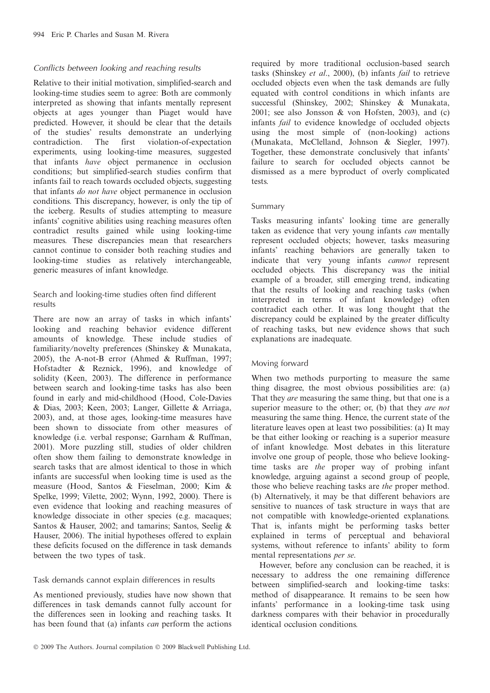## Conflicts between looking and reaching results

Relative to their initial motivation, simplified-search and looking-time studies seem to agree: Both are commonly interpreted as showing that infants mentally represent objects at ages younger than Piaget would have predicted. However, it should be clear that the details of the studies' results demonstrate an underlying contradiction. The first violation-of-expectation experiments, using looking-time measures, suggested that infants have object permanence in occlusion conditions; but simplified-search studies confirm that infants fail to reach towards occluded objects, suggesting that infants do not have object permanence in occlusion conditions. This discrepancy, however, is only the tip of the iceberg. Results of studies attempting to measure infants' cognitive abilities using reaching measures often contradict results gained while using looking-time measures. These discrepancies mean that researchers cannot continue to consider both reaching studies and looking-time studies as relatively interchangeable, generic measures of infant knowledge.

## Search and looking-time studies often find different results

There are now an array of tasks in which infants' looking and reaching behavior evidence different amounts of knowledge. These include studies of familiarity/novelty preferences (Shinskey & Munakata, 2005), the A-not-B error (Ahmed & Ruffman, 1997; Hofstadter & Reznick, 1996), and knowledge of solidity (Keen, 2003). The difference in performance between search and looking-time tasks has also been found in early and mid-childhood (Hood, Cole-Davies & Dias, 2003; Keen, 2003; Langer, Gillette & Arriaga, 2003), and, at those ages, looking-time measures have been shown to dissociate from other measures of knowledge (i.e. verbal response; Garnham & Ruffman, 2001). More puzzling still, studies of older children often show them failing to demonstrate knowledge in search tasks that are almost identical to those in which infants are successful when looking time is used as the measure (Hood, Santos & Fieselman, 2000; Kim & Spelke, 1999; Vilette, 2002; Wynn, 1992, 2000). There is even evidence that looking and reaching measures of knowledge dissociate in other species (e.g. macaques; Santos & Hauser, 2002; and tamarins; Santos, Seelig & Hauser, 2006). The initial hypotheses offered to explain these deficits focused on the difference in task demands between the two types of task.

## Task demands cannot explain differences in results

As mentioned previously, studies have now shown that differences in task demands cannot fully account for the differences seen in looking and reaching tasks. It has been found that (a) infants can perform the actions required by more traditional occlusion-based search tasks (Shinskey et al., 2000), (b) infants fail to retrieve occluded objects even when the task demands are fully equated with control conditions in which infants are successful (Shinskey, 2002; Shinskey & Munakata, 2001; see also Jonsson & von Hofsten, 2003), and (c) infants fail to evidence knowledge of occluded objects using the most simple of (non-looking) actions (Munakata, McClelland, Johnson & Siegler, 1997). Together, these demonstrate conclusively that infants' failure to search for occluded objects cannot be dismissed as a mere byproduct of overly complicated tests.

## Summary

Tasks measuring infants' looking time are generally taken as evidence that very young infants *can* mentally represent occluded objects; however, tasks measuring infants' reaching behaviors are generally taken to indicate that very young infants cannot represent occluded objects. This discrepancy was the initial example of a broader, still emerging trend, indicating that the results of looking and reaching tasks (when interpreted in terms of infant knowledge) often contradict each other. It was long thought that the discrepancy could be explained by the greater difficulty of reaching tasks, but new evidence shows that such explanations are inadequate.

# Moving forward

When two methods purporting to measure the same thing disagree, the most obvious possibilities are: (a) That they are measuring the same thing, but that one is a superior measure to the other; or, (b) that they are not measuring the same thing. Hence, the current state of the literature leaves open at least two possibilities: (a) It may be that either looking or reaching is a superior measure of infant knowledge. Most debates in this literature involve one group of people, those who believe lookingtime tasks are the proper way of probing infant knowledge, arguing against a second group of people, those who believe reaching tasks are the proper method. (b) Alternatively, it may be that different behaviors are sensitive to nuances of task structure in ways that are not compatible with knowledge-oriented explanations. That is, infants might be performing tasks better explained in terms of perceptual and behavioral systems, without reference to infants' ability to form mental representations per se.

However, before any conclusion can be reached, it is necessary to address the one remaining difference between simplified-search and looking-time tasks: method of disappearance. It remains to be seen how infants' performance in a looking-time task using darkness compares with their behavior in procedurally identical occlusion conditions.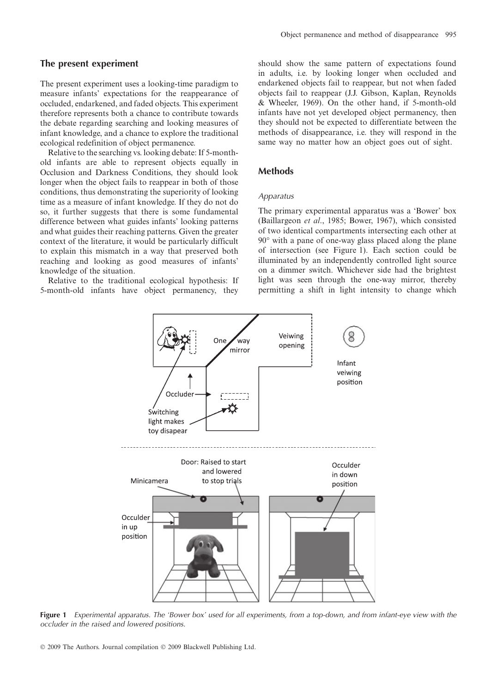## The present experiment

The present experiment uses a looking-time paradigm to measure infants' expectations for the reappearance of occluded, endarkened, and faded objects. This experiment therefore represents both a chance to contribute towards the debate regarding searching and looking measures of infant knowledge, and a chance to explore the traditional ecological redefinition of object permanence.

Relative to the searching vs. looking debate: If 5-monthold infants are able to represent objects equally in Occlusion and Darkness Conditions, they should look longer when the object fails to reappear in both of those conditions, thus demonstrating the superiority of looking time as a measure of infant knowledge. If they do not do so, it further suggests that there is some fundamental difference between what guides infants' looking patterns and what guides their reaching patterns. Given the greater context of the literature, it would be particularly difficult to explain this mismatch in a way that preserved both reaching and looking as good measures of infants' knowledge of the situation.

Relative to the traditional ecological hypothesis: If 5-month-old infants have object permanency, they should show the same pattern of expectations found in adults, i.e. by looking longer when occluded and endarkened objects fail to reappear, but not when faded objects fail to reappear (J.J. Gibson, Kaplan, Reynolds & Wheeler, 1969). On the other hand, if 5-month-old infants have not yet developed object permanency, then they should not be expected to differentiate between the methods of disappearance, i.e. they will respond in the same way no matter how an object goes out of sight.

## Methods

#### Apparatus

The primary experimental apparatus was a 'Bower' box (Baillargeon et al., 1985; Bower, 1967), which consisted of two identical compartments intersecting each other at  $90^\circ$  with a pane of one-way glass placed along the plane of intersection (see Figure 1). Each section could be illuminated by an independently controlled light source on a dimmer switch. Whichever side had the brightest light was seen through the one-way mirror, thereby permitting a shift in light intensity to change which



Figure 1 Experimental apparatus. The 'Bower box' used for all experiments, from a top-down, and from infant-eye view with the occluder in the raised and lowered positions.

© 2009 The Authors. Journal compilation © 2009 Blackwell Publishing Ltd.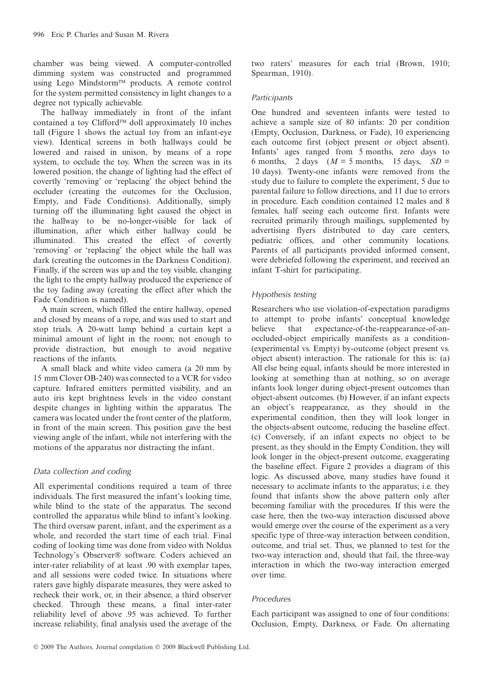chamber was being viewed. A computer-controlled dimming system was constructed and programmed using Lego Mindstorm™ products. A remote control for the system permitted consistency in light changes to a degree not typically achievable.

The hallway immediately in front of the infant contained a toy Clifford<sup>TM</sup> doll approximately 10 inches tall (Figure 1 shows the actual toy from an infant-eye view). Identical screens in both hallways could be lowered and raised in unison, by means of a rope system, to occlude the toy. When the screen was in its lowered position, the change of lighting had the effect of covertly 'removing' or 'replacing' the object behind the occluder (creating the outcomes for the Occlusion, Empty, and Fade Conditions). Additionally, simply turning off the illuminating light caused the object in the hallway to be no-longer-visible for lack of illumination, after which either hallway could be illuminated. This created the effect of covertly 'removing' or 'replacing' the object while the hall was dark (creating the outcomes in the Darkness Condition). Finally, if the screen was up and the toy visible, changing the light to the empty hallway produced the experience of the toy fading away (creating the effect after which the Fade Condition is named).

A main screen, which filled the entire hallway, opened and closed by means of a rope, and was used to start and stop trials. A 20-watt lamp behind a curtain kept a minimal amount of light in the room; not enough to provide distraction, but enough to avoid negative reactions of the infants.

A small black and white video camera (a 20 mm by 15 mm Clover OB-240) was connected to a VCR for video capture. Infrared emitters permitted visibility, and an auto iris kept brightness levels in the video constant despite changes in lighting within the apparatus. The camera was located under the front center of the platform, in front of the main screen. This position gave the best viewing angle of the infant, while not interfering with the motions of the apparatus nor distracting the infant.

# Data collection and coding

All experimental conditions required a team of three individuals. The first measured the infant's looking time, while blind to the state of the apparatus. The second controlled the apparatus while blind to infant's looking. The third oversaw parent, infant, and the experiment as a whole, and recorded the start time of each trial. Final coding of looking time was done from video with Noldus Technology's Observer® software. Coders achieved an inter-rater reliability of at least .90 with exemplar tapes, and all sessions were coded twice. In situations where raters gave highly disparate measures, they were asked to recheck their work, or, in their absence, a third observer checked. Through these means, a final inter-rater reliability level of above .95 was achieved. To further increase reliability, final analysis used the average of the two raters' measures for each trial (Brown, 1910; Spearman, 1910).

# **Participants**

One hundred and seventeen infants were tested to achieve a sample size of 80 infants: 20 per condition (Empty, Occlusion, Darkness, or Fade), 10 experiencing each outcome first (object present or object absent). Infants' ages ranged from 5 months, zero days to 6 months, 2 days ( $M = 5$  months, 15 days,  $SD =$ 10 days). Twenty-one infants were removed from the study due to failure to complete the experiment, 5 due to parental failure to follow directions, and 11 due to errors in procedure. Each condition contained 12 males and 8 females, half seeing each outcome first. Infants were recruited primarily through mailings, supplemented by advertising flyers distributed to day care centers, pediatric offices, and other community locations. Parents of all participants provided informed consent, were debriefed following the experiment, and received an infant T-shirt for participating.

# Hypothesis testing

Researchers who use violation-of-expectation paradigms to attempt to probe infants' conceptual knowledge believe that expectance-of-the-reappearance-of-anoccluded-object empirically manifests as a condition- (experimental vs. Empty) by-outcome (object present vs. object absent) interaction. The rationale for this is: (a) All else being equal, infants should be more interested in looking at something than at nothing, so on average infants look longer during object-present outcomes than object-absent outcomes. (b) However, if an infant expects an object's reappearance, as they should in the experimental condition, then they will look longer in the objects-absent outcome, reducing the baseline effect. (c) Conversely, if an infant expects no object to be present, as they should in the Empty Condition, they will look longer in the object-present outcome, exaggerating the baseline effect. Figure 2 provides a diagram of this logic. As discussed above, many studies have found it necessary to acclimate infants to the apparatus; i.e. they found that infants show the above pattern only after becoming familiar with the procedures. If this were the case here, then the two-way interaction discussed above would emerge over the course of the experiment as a very specific type of three-way interaction between condition, outcome, and trial set. Thus, we planned to test for the two-way interaction and, should that fail, the three-way interaction in which the two-way interaction emerged over time.

## Procedures

Each participant was assigned to one of four conditions: Occlusion, Empty, Darkness, or Fade. On alternating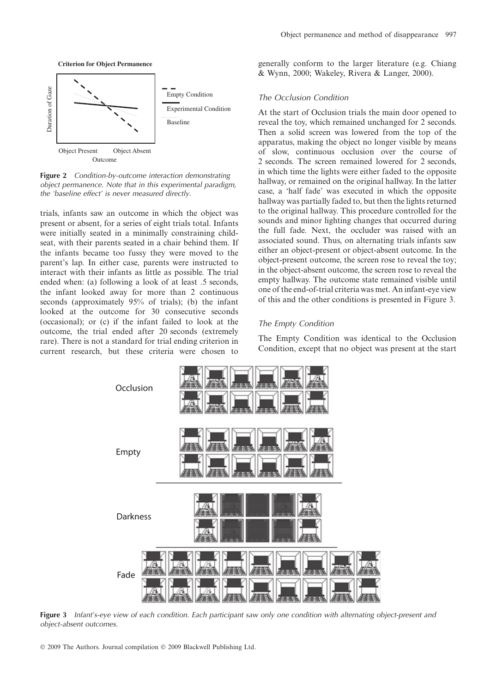

Figure 2 Condition-by-outcome interaction demonstrating object permanence. Note that in this experimental paradigm, the 'baseline effect' is never measured directly.

trials, infants saw an outcome in which the object was present or absent, for a series of eight trials total. Infants were initially seated in a minimally constraining childseat, with their parents seated in a chair behind them. If the infants became too fussy they were moved to the parent's lap. In either case, parents were instructed to interact with their infants as little as possible. The trial ended when: (a) following a look of at least .5 seconds, the infant looked away for more than 2 continuous seconds (approximately 95% of trials); (b) the infant looked at the outcome for 30 consecutive seconds (occasional); or (c) if the infant failed to look at the outcome, the trial ended after 20 seconds (extremely rare). There is not a standard for trial ending criterion in current research, but these criteria were chosen to

generally conform to the larger literature (e.g. Chiang & Wynn, 2000; Wakeley, Rivera & Langer, 2000).

#### The Occlusion Condition

At the start of Occlusion trials the main door opened to reveal the toy, which remained unchanged for 2 seconds. Then a solid screen was lowered from the top of the apparatus, making the object no longer visible by means of slow, continuous occlusion over the course of 2 seconds. The screen remained lowered for 2 seconds, in which time the lights were either faded to the opposite hallway, or remained on the original hallway. In the latter case, a 'half fade' was executed in which the opposite hallway was partially faded to, but then the lights returned to the original hallway. This procedure controlled for the sounds and minor lighting changes that occurred during the full fade. Next, the occluder was raised with an associated sound. Thus, on alternating trials infants saw either an object-present or object-absent outcome. In the object-present outcome, the screen rose to reveal the toy; in the object-absent outcome, the screen rose to reveal the empty hallway. The outcome state remained visible until one of the end-of-trial criteria was met. An infant-eye view of this and the other conditions is presented in Figure 3.

## The Empty Condition

The Empty Condition was identical to the Occlusion Condition, except that no object was present at the start



Figure 3 Infant's-eye view of each condition. Each participant saw only one condition with alternating object-present and object-absent outcomes.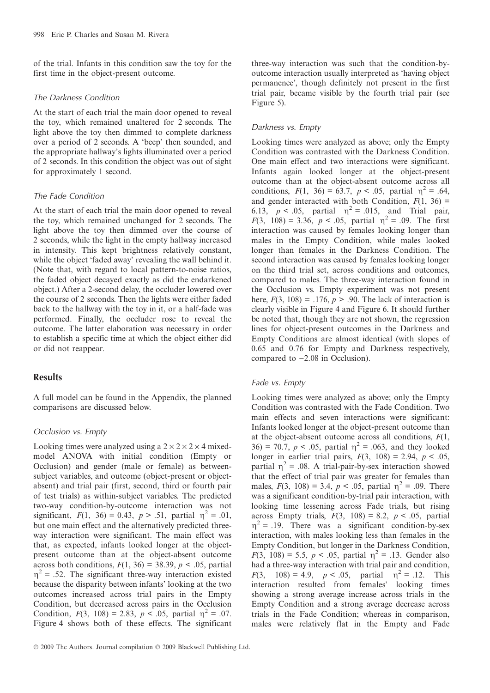of the trial. Infants in this condition saw the toy for the first time in the object-present outcome.

#### The Darkness Condition

At the start of each trial the main door opened to reveal the toy, which remained unaltered for 2 seconds. The light above the toy then dimmed to complete darkness over a period of 2 seconds. A 'beep' then sounded, and the appropriate hallway's lights illuminated over a period of 2 seconds. In this condition the object was out of sight for approximately 1 second.

#### The Fade Condition

At the start of each trial the main door opened to reveal the toy, which remained unchanged for 2 seconds. The light above the toy then dimmed over the course of 2 seconds, while the light in the empty hallway increased in intensity. This kept brightness relatively constant, while the object 'faded away' revealing the wall behind it. (Note that, with regard to local pattern-to-noise ratios, the faded object decayed exactly as did the endarkened object.) After a 2-second delay, the occluder lowered over the course of 2 seconds. Then the lights were either faded back to the hallway with the toy in it, or a half-fade was performed. Finally, the occluder rose to reveal the outcome. The latter elaboration was necessary in order to establish a specific time at which the object either did or did not reappear.

# **Results**

A full model can be found in the Appendix, the planned comparisons are discussed below.

#### Occlusion vs. Empty

Looking times were analyzed using a  $2 \times 2 \times 2 \times 4$  mixedmodel ANOVA with initial condition (Empty or Occlusion) and gender (male or female) as betweensubject variables, and outcome (object-present or objectabsent) and trial pair (first, second, third or fourth pair of test trials) as within-subject variables. The predicted two-way condition-by-outcome interaction was not significant,  $F(1, 36) = 0.43$ ,  $p > .51$ , partial  $\eta^2 = .01$ , but one main effect and the alternatively predicted threeway interaction were significant. The main effect was that, as expected, infants looked longer at the objectpresent outcome than at the object-absent outcome across both conditions,  $F(1, 36) = 38.39$ ,  $p < .05$ , partial  $\eta^2$  = .52. The significant three-way interaction existed because the disparity between infants' looking at the two outcomes increased across trial pairs in the Empty Condition, but decreased across pairs in the Occlusion Condition,  $F(3, 108) = 2.83$ ,  $p < .05$ , partial  $\eta^2 = .07$ . Figure 4 shows both of these effects. The significant

© 2009 The Authors. Journal compilation © 2009 Blackwell Publishing Ltd.

three-way interaction was such that the condition-byoutcome interaction usually interpreted as 'having object permanence', though definitely not present in the first trial pair, became visible by the fourth trial pair (see Figure 5).

#### Darkness vs. Empty

Looking times were analyzed as above; only the Empty Condition was contrasted with the Darkness Condition. One main effect and two interactions were significant. Infants again looked longer at the object-present outcome than at the object-absent outcome across all conditions,  $F(1, 36) = 63.7$ ,  $p < .05$ , partial  $\eta^2 = .64$ , and gender interacted with both Condition,  $F(1, 36) =$ 6.13,  $p < .05$ , partial  $\eta^2 = .015$ , and Trial pair,  $F(3, 108) = 3.36, p < .05$ , partial  $p^2 = .09$ . The first interaction was caused by females looking longer than males in the Empty Condition, while males looked longer than females in the Darkness Condition. The second interaction was caused by females looking longer on the third trial set, across conditions and outcomes, compared to males. The three-way interaction found in the Occlusion vs. Empty experiment was not present here,  $F(3, 108) = .176$ ,  $p > .90$ . The lack of interaction is clearly visible in Figure 4 and Figure 6. It should further be noted that, though they are not shown, the regression lines for object-present outcomes in the Darkness and Empty Conditions are almost identical (with slopes of 0.65 and 0.76 for Empty and Darkness respectively, compared to  $-2.08$  in Occlusion).

#### Fade vs. Empty

Looking times were analyzed as above; only the Empty Condition was contrasted with the Fade Condition. Two main effects and seven interactions were significant: Infants looked longer at the object-present outcome than at the object-absent outcome across all conditions,  $F(1)$ , 36) = 70.7,  $p < .05$ , partial  $\eta^2 = .063$ , and they looked longer in earlier trial pairs,  $F(3, 108) = 2.94$ ,  $p < .05$ , partial  $\eta^2$  = .08. A trial-pair-by-sex interaction showed that the effect of trial pair was greater for females than males,  $F(3, 108) = 3.4$ ,  $p < .05$ , partial  $\eta^2 = .09$ . There was a significant condition-by-trial pair interaction, with looking time lessening across Fade trials, but rising across Empty trials,  $F(3, 108) = 8.2$ ,  $p < .05$ , partial  $\eta^2$  = .19. There was a significant condition-by-sex interaction, with males looking less than females in the Empty Condition, but longer in the Darkness Condition,  $F(3, 108) = 5.5, p < .05$ , partial  $\eta^2 = .13$ . Gender also had a three-way interaction with trial pair and condition, F(3, 108) = 4.9,  $p < .05$ , partial  $p^2 = .12$ . This interaction resulted from females' looking times showing a strong average increase across trials in the Empty Condition and a strong average decrease across trials in the Fade Condition; whereas in comparison, males were relatively flat in the Empty and Fade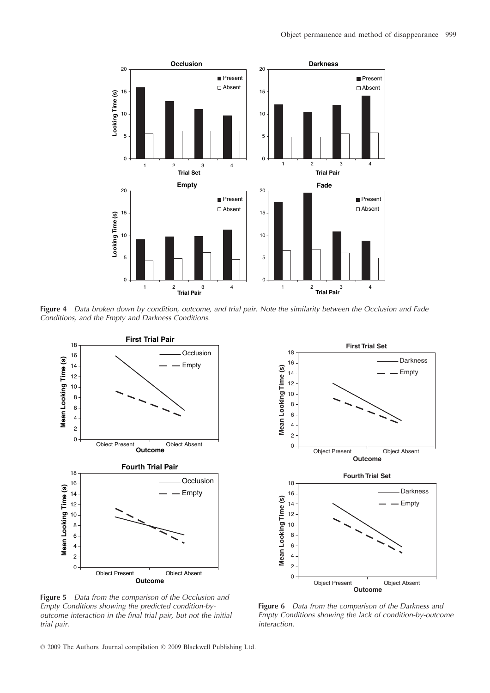

Figure 4 Data broken down by condition, outcome, and trial pair. Note the similarity between the Occlusion and Fade Conditions, and the Empty and Darkness Conditions.





Figure 5 Data from the comparison of the Occlusion and Empty Conditions showing the predicted condition-byoutcome interaction in the final trial pair, but not the initial trial pair.

Figure 6 Data from the comparison of the Darkness and Empty Conditions showing the lack of condition-by-outcome interaction.

© 2009 The Authors. Journal compilation © 2009 Blackwell Publishing Ltd.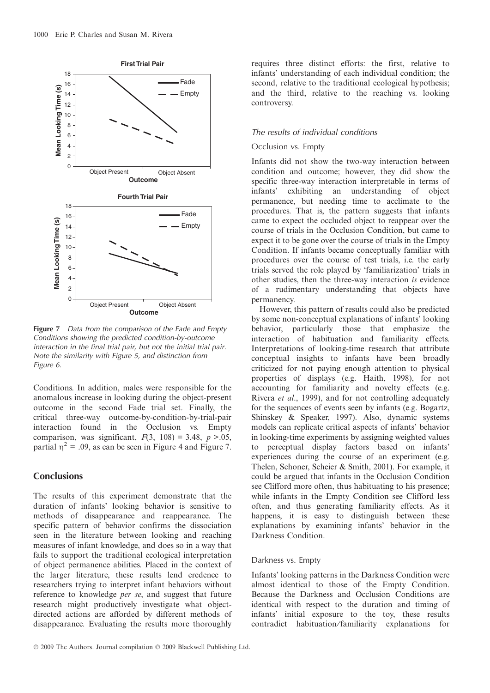

Figure 7 Data from the comparison of the Fade and Empty Conditions showing the predicted condition-by-outcome interaction in the final trial pair, but not the initial trial pair. Note the similarity with Figure 5, and distinction from Figure 6.

Conditions. In addition, males were responsible for the anomalous increase in looking during the object-present outcome in the second Fade trial set. Finally, the critical three-way outcome-by-condition-by-trial-pair interaction found in the Occlusion vs. Empty comparison, was significant,  $F(3, 108) = 3.48$ ,  $p > .05$ , partial  $\eta^2$  = .09, as can be seen in Figure 4 and Figure 7.

# Conclusions

The results of this experiment demonstrate that the duration of infants' looking behavior is sensitive to methods of disappearance and reappearance. The specific pattern of behavior confirms the dissociation seen in the literature between looking and reaching measures of infant knowledge, and does so in a way that fails to support the traditional ecological interpretation of object permanence abilities. Placed in the context of the larger literature, these results lend credence to researchers trying to interpret infant behaviors without reference to knowledge per se, and suggest that future research might productively investigate what objectdirected actions are afforded by different methods of disappearance. Evaluating the results more thoroughly

requires three distinct efforts: the first, relative to infants' understanding of each individual condition; the second, relative to the traditional ecological hypothesis; and the third, relative to the reaching vs. looking controversy.

# The results of individual conditions

## Occlusion vs. Empty

Infants did not show the two-way interaction between condition and outcome; however, they did show the specific three-way interaction interpretable in terms of infants' exhibiting an understanding of object permanence, but needing time to acclimate to the procedures. That is, the pattern suggests that infants came to expect the occluded object to reappear over the course of trials in the Occlusion Condition, but came to expect it to be gone over the course of trials in the Empty Condition. If infants became conceptually familiar with procedures over the course of test trials, i.e. the early trials served the role played by 'familiarization' trials in other studies, then the three-way interaction is evidence of a rudimentary understanding that objects have permanency.

However, this pattern of results could also be predicted by some non-conceptual explanations of infants' looking behavior, particularly those that emphasize the interaction of habituation and familiarity effects. Interpretations of looking-time research that attribute conceptual insights to infants have been broadly criticized for not paying enough attention to physical properties of displays (e.g. Haith, 1998), for not accounting for familiarity and novelty effects (e.g. Rivera et al., 1999), and for not controlling adequately for the sequences of events seen by infants (e.g. Bogartz, Shinskey & Speaker, 1997). Also, dynamic systems models can replicate critical aspects of infants' behavior in looking-time experiments by assigning weighted values to perceptual display factors based on infants' experiences during the course of an experiment (e.g. Thelen, Schoner, Scheier & Smith, 2001). For example, it could be argued that infants in the Occlusion Condition see Clifford more often, thus habituating to his presence; while infants in the Empty Condition see Clifford less often, and thus generating familiarity effects. As it happens, it is easy to distinguish between these explanations by examining infants' behavior in the Darkness Condition.

#### Darkness vs. Empty

Infants' looking patterns in the Darkness Condition were almost identical to those of the Empty Condition. Because the Darkness and Occlusion Conditions are identical with respect to the duration and timing of infants' initial exposure to the toy, these results contradict habituation/familiarity explanations for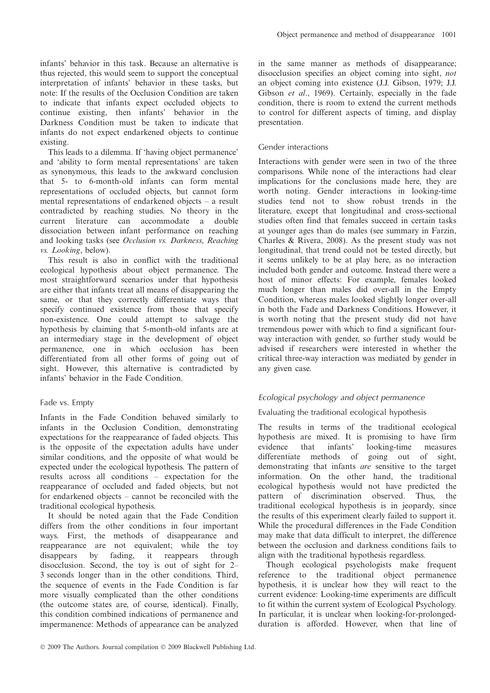infants' behavior in this task. Because an alternative is thus rejected, this would seem to support the conceptual interpretation of infants' behavior in these tasks, but note: If the results of the Occlusion Condition are taken to indicate that infants expect occluded objects to continue existing, then infants' behavior in the Darkness Condition must be taken to indicate that infants do not expect endarkened objects to continue existing.

This leads to a dilemma. If 'having object permanence' and 'ability to form mental representations' are taken as synonymous, this leads to the awkward conclusion that 5- to 6-month-old infants can form mental representations of occluded objects, but cannot form mental representations of endarkened objects – a result contradicted by reaching studies. No theory in the current literature can accommodate a double dissociation between infant performance on reaching and looking tasks (see Occlusion vs. Darkness, Reaching vs. Looking, below).

This result is also in conflict with the traditional ecological hypothesis about object permanence. The most straightforward scenarios under that hypothesis are either that infants treat all means of disappearing the same, or that they correctly differentiate ways that specify continued existence from those that specify non-existence. One could attempt to salvage the hypothesis by claiming that 5-month-old infants are at an intermediary stage in the development of object permanence, one in which occlusion has been differentiated from all other forms of going out of sight. However, this alternative is contradicted by infants' behavior in the Fade Condition.

## Fade vs. Empty

Infants in the Fade Condition behaved similarly to infants in the Occlusion Condition, demonstrating expectations for the reappearance of faded objects. This is the opposite of the expectation adults have under similar conditions, and the opposite of what would be expected under the ecological hypothesis. The pattern of results across all conditions – expectation for the reappearance of occluded and faded objects, but not for endarkened objects – cannot be reconciled with the traditional ecological hypothesis.

It should be noted again that the Fade Condition differs from the other conditions in four important ways. First, the methods of disappearance and reappearance are not equivalent; while the toy disappears by fading, it reappears through disocclusion. Second, the toy is out of sight for 2– 3 seconds longer than in the other conditions. Third, the sequence of events in the Fade Condition is far more visually complicated than the other conditions (the outcome states are, of course, identical). Finally, this condition combined indications of permanence and impermanence: Methods of appearance can be analyzed in the same manner as methods of disappearance; disocclusion specifies an object coming into sight, not an object coming into existence (J.J. Gibson, 1979; J.J. Gibson et al., 1969). Certainly, especially in the fade condition, there is room to extend the current methods to control for different aspects of timing, and display presentation.

# Gender interactions

Interactions with gender were seen in two of the three comparisons. While none of the interactions had clear implications for the conclusions made here, they are worth noting. Gender interactions in looking-time studies tend not to show robust trends in the literature, except that longitudinal and cross-sectional studies often find that females succeed in certain tasks at younger ages than do males (see summary in Farzin, Charles & Rivera, 2008). As the present study was not longitudinal, that trend could not be tested directly, but it seems unlikely to be at play here, as no interaction included both gender and outcome. Instead there were a host of minor effects: For example, females looked much longer than males did over-all in the Empty Condition, whereas males looked slightly longer over-all in both the Fade and Darkness Conditions. However, it is worth noting that the present study did not have tremendous power with which to find a significant fourway interaction with gender, so further study would be advised if researchers were interested in whether the critical three-way interaction was mediated by gender in any given case.

# Ecological psychology and object permanence

# Evaluating the traditional ecological hypothesis

The results in terms of the traditional ecological hypothesis are mixed. It is promising to have firm evidence that infants' looking-time measures differentiate methods of going out of sight, demonstrating that infants are sensitive to the target information. On the other hand, the traditional ecological hypothesis would not have predicted the pattern of discrimination observed. Thus, the traditional ecological hypothesis is in jeopardy, since the results of this experiment clearly failed to support it. While the procedural differences in the Fade Condition may make that data difficult to interpret, the difference between the occlusion and darkness conditions fails to align with the traditional hypothesis regardless.

Though ecological psychologists make frequent reference to the traditional object permanence hypothesis, it is unclear how they will react to the current evidence: Looking-time experiments are difficult to fit within the current system of Ecological Psychology. In particular, it is unclear when looking-for-prolongedduration is afforded. However, when that line of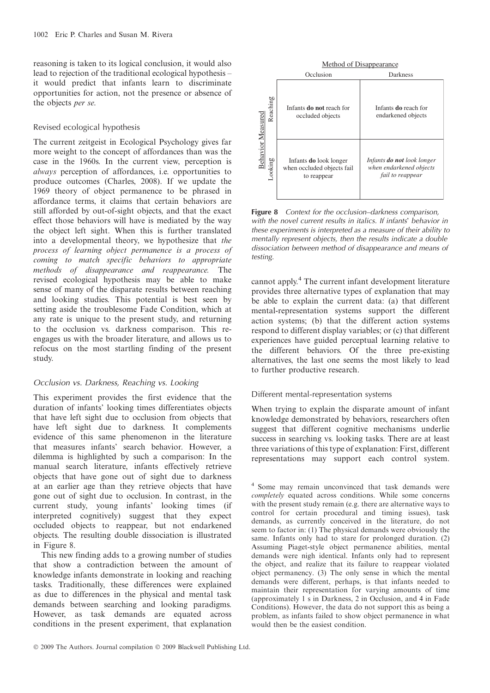reasoning is taken to its logical conclusion, it would also lead to rejection of the traditional ecological hypothesis – it would predict that infants learn to discriminate opportunities for action, not the presence or absence of the objects per se.

## Revised ecological hypothesis

The current zeitgeist in Ecological Psychology gives far more weight to the concept of affordances than was the case in the 1960s. In the current view, perception is always perception of affordances, i.e. opportunities to produce outcomes (Charles, 2008). If we update the 1969 theory of object permanence to be phrased in affordance terms, it claims that certain behaviors are still afforded by out-of-sight objects, and that the exact effect those behaviors will have is mediated by the way the object left sight. When this is further translated into a developmental theory, we hypothesize that the process of learning object permanence is a process of coming to match specific behaviors to appropriate methods of disappearance and reappearance. The revised ecological hypothesis may be able to make sense of many of the disparate results between reaching and looking studies. This potential is best seen by setting aside the troublesome Fade Condition, which at any rate is unique to the present study, and returning to the occlusion vs. darkness comparison. This reengages us with the broader literature, and allows us to refocus on the most startling finding of the present study.

## Occlusion vs. Darkness, Reaching vs. Looking

This experiment provides the first evidence that the duration of infants' looking times differentiates objects that have left sight due to occlusion from objects that have left sight due to darkness. It complements evidence of this same phenomenon in the literature that measures infants' search behavior. However, a dilemma is highlighted by such a comparison: In the manual search literature, infants effectively retrieve objects that have gone out of sight due to darkness at an earlier age than they retrieve objects that have gone out of sight due to occlusion. In contrast, in the current study, young infants' looking times (if interpreted cognitively) suggest that they expect occluded objects to reappear, but not endarkened objects. The resulting double dissociation is illustrated in Figure 8.

This new finding adds to a growing number of studies that show a contradiction between the amount of knowledge infants demonstrate in looking and reaching tasks. Traditionally, these differences were explained as due to differences in the physical and mental task demands between searching and looking paradigms. However, as task demands are equated across conditions in the present experiment, that explanation



Figure 8 Context for the occlusion-darkness comparison, with the novel current results in italics. If infants' behavior in these experiments is interpreted as a measure of their ability to mentally represent objects, then the results indicate a double dissociation between method of disappearance and means of testing.

cannot apply.<sup>4</sup> The current infant development literature provides three alternative types of explanation that may be able to explain the current data: (a) that different mental-representation systems support the different action systems; (b) that the different action systems respond to different display variables; or (c) that different experiences have guided perceptual learning relative to the different behaviors. Of the three pre-existing alternatives, the last one seems the most likely to lead to further productive research.

#### Different mental-representation systems

When trying to explain the disparate amount of infant knowledge demonstrated by behaviors, researchers often suggest that different cognitive mechanisms underlie success in searching vs. looking tasks. There are at least three variations of this type of explanation: First, different representations may support each control system.

<sup>4</sup> Some may remain unconvinced that task demands were completely equated across conditions. While some concerns with the present study remain (e.g. there are alternative ways to control for certain procedural and timing issues), task demands, as currently conceived in the literature, do not seem to factor in: (1) The physical demands were obviously the same. Infants only had to stare for prolonged duration. (2) Assuming Piaget-style object permanence abilities, mental demands were nigh identical. Infants only had to represent the object, and realize that its failure to reappear violated object permanency. (3) The only sense in which the mental demands were different, perhaps, is that infants needed to maintain their representation for varying amounts of time (approximately 1 s in Darkness, 2 in Occlusion, and 4 in Fade Conditions). However, the data do not support this as being a problem, as infants failed to show object permanence in what would then be the easiest condition.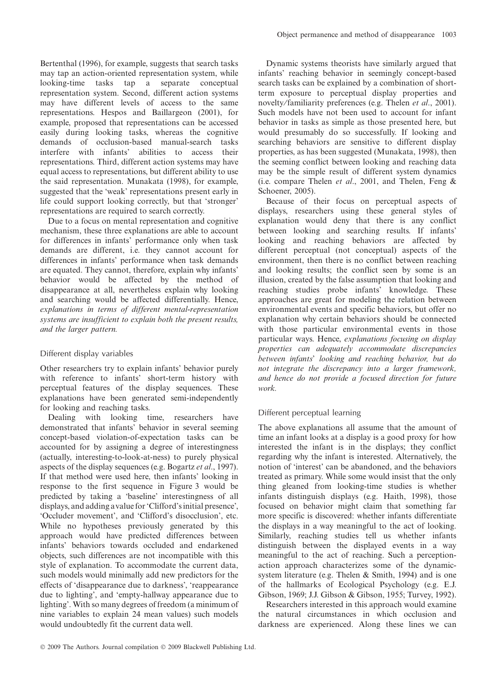Bertenthal (1996), for example, suggests that search tasks may tap an action-oriented representation system, while looking-time tasks tap a separate conceptual representation system. Second, different action systems may have different levels of access to the same representations. Hespos and Baillargeon (2001), for example, proposed that representations can be accessed easily during looking tasks, whereas the cognitive demands of occlusion-based manual-search tasks interfere with infants' abilities to access their representations. Third, different action systems may have equal access to representations, but different ability to use the said representation. Munakata (1998), for example, suggested that the 'weak' representations present early in life could support looking correctly, but that 'stronger' representations are required to search correctly.

Due to a focus on mental representation and cognitive mechanism, these three explanations are able to account for differences in infants' performance only when task demands are different, i.e. they cannot account for differences in infants' performance when task demands are equated. They cannot, therefore, explain why infants' behavior would be affected by the method of disappearance at all, nevertheless explain why looking and searching would be affected differentially. Hence, explanations in terms of different mental-representation systems are insufficient to explain both the present results, and the larger pattern.

## Different display variables

Other researchers try to explain infants' behavior purely with reference to infants' short-term history with perceptual features of the display sequences. These explanations have been generated semi-independently for looking and reaching tasks.

Dealing with looking time, researchers have demonstrated that infants' behavior in several seeming concept-based violation-of-expectation tasks can be accounted for by assigning a degree of interestingness (actually, interesting-to-look-at-ness) to purely physical aspects of the display sequences (e.g. Bogartz et al., 1997). If that method were used here, then infants' looking in response to the first sequence in Figure 3 would be predicted by taking a 'baseline' interestingness of all displays, and adding avalue for'Clifford's initial presence', 'Occluder movement', and 'Clifford's disocclusion', etc. While no hypotheses previously generated by this approach would have predicted differences between infants' behaviors towards occluded and endarkened objects, such differences are not incompatible with this style of explanation. To accommodate the current data, such models would minimally add new predictors for the effects of 'disappearance due to darkness', 'reappearance due to lighting', and 'empty-hallway appearance due to lighting'. With so many degrees of freedom (a minimum of nine variables to explain 24 mean values) such models would undoubtedly fit the current data well.

Dynamic systems theorists have similarly argued that infants' reaching behavior in seemingly concept-based search tasks can be explained by a combination of shortterm exposure to perceptual display properties and novelty/familiarity preferences (e.g. Thelen et al., 2001). Such models have not been used to account for infant behavior in tasks as simple as those presented here, but would presumably do so successfully. If looking and searching behaviors are sensitive to different display properties, as has been suggested (Munakata, 1998), then the seeming conflict between looking and reaching data may be the simple result of different system dynamics (i.e. compare Thelen et al., 2001, and Thelen, Feng  $\&$ Schoener, 2005).

Because of their focus on perceptual aspects of displays, researchers using these general styles of explanation would deny that there is any conflict between looking and searching results. If infants' looking and reaching behaviors are affected by different perceptual (not conceptual) aspects of the environment, then there is no conflict between reaching and looking results; the conflict seen by some is an illusion, created by the false assumption that looking and reaching studies probe infants' knowledge. These approaches are great for modeling the relation between environmental events and specific behaviors, but offer no explanation why certain behaviors should be connected with those particular environmental events in those particular ways. Hence, explanations focusing on display properties can adequately accommodate discrepancies between infants' looking and reaching behavior, but do not integrate the discrepancy into a larger framework, and hence do not provide a focused direction for future work.

## Different perceptual learning

The above explanations all assume that the amount of time an infant looks at a display is a good proxy for how interested the infant is in the displays; they conflict regarding why the infant is interested. Alternatively, the notion of 'interest' can be abandoned, and the behaviors treated as primary. While some would insist that the only thing gleaned from looking-time studies is whether infants distinguish displays (e.g. Haith, 1998), those focused on behavior might claim that something far more specific is discovered: whether infants differentiate the displays in a way meaningful to the act of looking. Similarly, reaching studies tell us whether infants distinguish between the displayed events in a way meaningful to the act of reaching. Such a perceptionaction approach characterizes some of the dynamicsystem literature (e.g. Thelen & Smith, 1994) and is one of the hallmarks of Ecological Psychology (e.g. E.J. Gibson, 1969; J.J. Gibson & Gibson, 1955; Turvey, 1992).

Researchers interested in this approach would examine the natural circumstances in which occlusion and darkness are experienced. Along these lines we can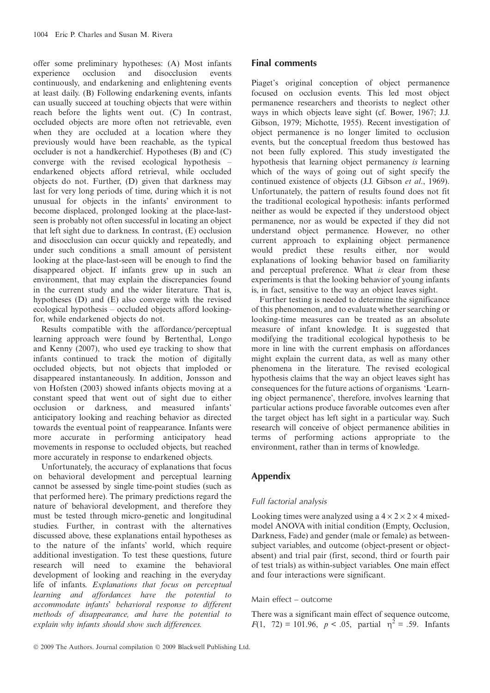offer some preliminary hypotheses: (A) Most infants experience occlusion and disocclusion events continuously, and endarkening and enlightening events at least daily. (B) Following endarkening events, infants can usually succeed at touching objects that were within reach before the lights went out. (C) In contrast, occluded objects are more often not retrievable, even when they are occluded at a location where they previously would have been reachable, as the typical occluder is not a handkerchief. Hypotheses (B) and (C) converge with the revised ecological hypothesis – endarkened objects afford retrieval, while occluded objects do not. Further, (D) given that darkness may last for very long periods of time, during which it is not unusual for objects in the infants' environment to become displaced, prolonged looking at the place-lastseen is probably not often successful in locating an object that left sight due to darkness. In contrast, (E) occlusion and disocclusion can occur quickly and repeatedly, and under such conditions a small amount of persistent looking at the place-last-seen will be enough to find the disappeared object. If infants grew up in such an environment, that may explain the discrepancies found in the current study and the wider literature. That is, hypotheses (D) and (E) also converge with the revised ecological hypothesis – occluded objects afford lookingfor, while endarkened objects do not.

Results compatible with the affordance/perceptual learning approach were found by Bertenthal, Longo and Kenny (2007), who used eye tracking to show that infants continued to track the motion of digitally occluded objects, but not objects that imploded or disappeared instantaneously. In addition, Jonsson and von Hofsten (2003) showed infants objects moving at a constant speed that went out of sight due to either occlusion or darkness, and measured infants' anticipatory looking and reaching behavior as directed towards the eventual point of reappearance. Infants were more accurate in performing anticipatory head movements in response to occluded objects, but reached more accurately in response to endarkened objects.

Unfortunately, the accuracy of explanations that focus on behavioral development and perceptual learning cannot be assessed by single time-point studies (such as that performed here). The primary predictions regard the nature of behavioral development, and therefore they must be tested through micro-genetic and longitudinal studies. Further, in contrast with the alternatives discussed above, these explanations entail hypotheses as to the nature of the infants' world, which require additional investigation. To test these questions, future research will need to examine the behavioral development of looking and reaching in the everyday life of infants. Explanations that focus on perceptual learning and affordances have the potential to accommodate infants' behavioral response to different methods of disappearance, and have the potential to explain why infants should show such differences.

# Final comments

Piaget's original conception of object permanence focused on occlusion events. This led most object permanence researchers and theorists to neglect other ways in which objects leave sight (cf. Bower, 1967; J.J. Gibson, 1979; Michotte, 1955). Recent investigation of object permanence is no longer limited to occlusion events, but the conceptual freedom thus bestowed has not been fully explored. This study investigated the hypothesis that learning object permanency is learning which of the ways of going out of sight specify the continued existence of objects (J.J. Gibson et al., 1969). Unfortunately, the pattern of results found does not fit the traditional ecological hypothesis: infants performed neither as would be expected if they understood object permanence, nor as would be expected if they did not understand object permanence. However, no other current approach to explaining object permanence would predict these results either, nor would explanations of looking behavior based on familiarity and perceptual preference. What is clear from these experiments is that the looking behavior of young infants is, in fact, sensitive to the way an object leaves sight.

Further testing is needed to determine the significance of this phenomenon, and to evaluate whether searching or looking-time measures can be treated as an absolute measure of infant knowledge. It is suggested that modifying the traditional ecological hypothesis to be more in line with the current emphasis on affordances might explain the current data, as well as many other phenomena in the literature. The revised ecological hypothesis claims that the way an object leaves sight has consequences for the future actions of organisms. 'Learning object permanence', therefore, involves learning that particular actions produce favorable outcomes even after the target object has left sight in a particular way. Such research will conceive of object permanence abilities in terms of performing actions appropriate to the environment, rather than in terms of knowledge.

# Appendix

# Full factorial analysis

Looking times were analyzed using a  $4 \times 2 \times 2 \times 4$  mixedmodel ANOVA with initial condition (Empty, Occlusion, Darkness, Fade) and gender (male or female) as betweensubject variables, and outcome (object-present or objectabsent) and trial pair (first, second, third or fourth pair of test trials) as within-subject variables. One main effect and four interactions were significant.

## Main effect – outcome

There was a significant main effect of sequence outcome,  $F(1, 72) = 101.96, p < .05$ , partial  $p^2 = .59$ . Infants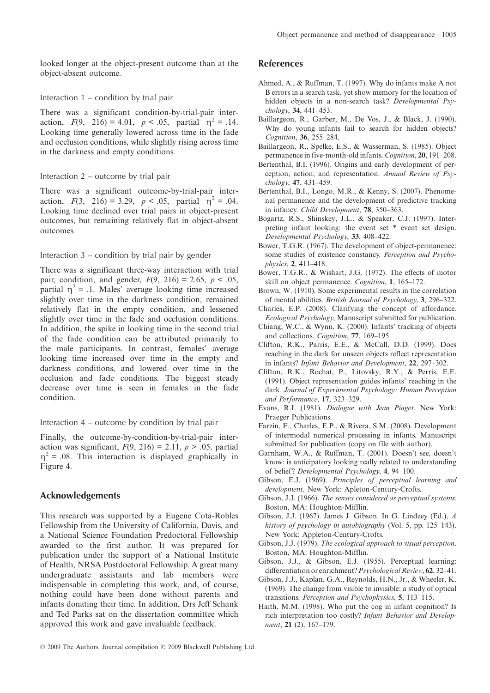looked longer at the object-present outcome than at the object-absent outcome.

#### Interaction 1 – condition by trial pair

There was a significant condition-by-trial-pair interaction,  $F(9, 216) = 4.01$ ,  $p < .05$ , partial  $p^2 = .14$ . Looking time generally lowered across time in the fade and occlusion conditions, while slightly rising across time in the darkness and empty conditions.

## Interaction 2 – outcome by trial pair

There was a significant outcome-by-trial-pair interaction,  $F(3, 216) = 3.29$ ,  $p < .05$ , partial  $\eta^2 = .04$ . Looking time declined over trial pairs in object-present outcomes, but remaining relatively flat in object-absent outcomes.

### Interaction 3 – condition by trial pair by gender

There was a significant three-way interaction with trial pair, condition, and gender,  $F(9, 216) = 2.65$ ,  $p < .05$ , partial  $\eta^2$  = .1. Males' average looking time increased slightly over time in the darkness condition, remained relatively flat in the empty condition, and lessened slightly over time in the fade and occlusion conditions. In addition, the spike in looking time in the second trial of the fade condition can be attributed primarily to the male participants. In contrast, females' average looking time increased over time in the empty and darkness conditions, and lowered over time in the occlusion and fade conditions. The biggest steady decrease over time is seen in females in the fade condition.

Interaction 4 – outcome by condition by trial pair

Finally, the outcome-by-condition-by-trial-pair interaction was significant,  $F(9, 216) = 2.11$ ,  $p > .05$ , partial  $\eta^2$  = .08. This interaction is displayed graphically in Figure 4.

# Acknowledgements

This research was supported by a Eugene Cota-Robles Fellowship from the University of California, Davis, and a National Science Foundation Predoctoral Fellowship awarded to the first author. It was prepared for publication under the support of a National Institute of Health, NRSA Postdoctoral Fellowship. A great many undergraduate assistants and lab members were indispensable in completing this work, and, of course, nothing could have been done without parents and infants donating their time. In addition, Drs Jeff Schank and Ted Parks sat on the dissertation committee which approved this work and gave invaluable feedback.

## References

- Ahmed, A., & Ruffman, T. (1997). Why do infants make A not B errors in a search task, yet show memory for the location of hidden objects in a non-search task? Developmental Psychology, 34, 441–453.
- Baillargeon, R., Garber, M., De Vos, J., & Black, J. (1990). Why do young infants fail to search for hidden objects? Cognition, 36, 255–284.
- Baillargeon, R., Spelke, E.S., & Wasserman, S. (1985). Object permanence in five-month-old infants. Cognition, 20, 191–208.
- Bertenthal, B.I. (1996). Origins and early development of perception, action, and representation. Annual Review of Psychology, 47, 431–459.
- Bertenthal, B.I., Longo, M.R., & Kenny, S. (2007). Phenomenal permanence and the development of predictive tracking in infancy. Child Development, 78, 350–363.
- Bogartz, R.S., Shinskey, J.L., & Speaker, C.J. (1997). Interpreting infant looking: the event set \* event set design. Developmental Psychology, 33, 408–422.
- Bower, T.G.R. (1967). The development of object-permanence: some studies of existence constancy. Perception and Psychophysics, 2, 411–418.
- Bower, T.G.R., & Wishart, J.G. (1972). The effects of motor skill on object permanence. Cognition, 1, 165–172.
- Brown, W. (1910). Some experimental results in the correlation of mental abilities. British Journal of Psychology, 3, 296–322.
- Charles, E.P. (2008). Clarifying the concept of affordance. Ecological Psychology, Manuscript submitted for publication.
- Chiang, W.C., & Wynn, K. (2000). Infants' tracking of objects and collections. Cognition, 77, 169–195.
- Clifton, R.K., Parris, E.E., & McCall, D.D. (1999). Does reaching in the dark for unseen objects reflect representation in infants? Infant Behavior and Development, 22, 297–302.
- Clifton, R.K., Rochat, P., Litovsky, R.Y., & Perris, E.E. (1991). Object representation guides infants' reaching in the dark. Journal of Experimental Psychology: Human Perception and Performance, 17, 323–329.
- Evans, R.I. (1981). Dialogue with Jean Piaget. New York: Praeger Publications.
- Farzin, F., Charles, E.P., & Rivera, S.M. (2008). Development of intermodal numerical processing in infants. Manuscript submitted for publication (copy on file with author).
- Garnham, W.A., & Ruffman, T. (2001). Doesn't see, doesn't know: is anticipatory looking really related to understanding of belief? Developmental Psychology, 4, 94-100.
- Gibson, E.J. (1969). Principles of perceptual learning and development. New York: Apleton-Century-Crofts.
- Gibson, J.J. (1966). The senses considered as perceptual systems. Boston, MA: Houghton-Mifflin.
- Gibson, J.J. (1967). James J. Gibson. In G. Lindzey (Ed.), A history of psychology in autobiography (Vol. 5, pp. 125–143). New York: Appleton-Century-Crofts.
- Gibson, J.J. (1979). The ecological approach to visual perception. Boston, MA: Houghton-Mifflin.
- Gibson, J.J., & Gibson, E.J. (1955). Perceptual learning: differentiation or enrichment? Psychological Review, 62, 32-41.
- Gibson, J.J., Kaplan, G.A., Reynolds, H.N., Jr., & Wheeler, K. (1969). The change from visible to invisible: a study of optical transitions. Perception and Psychophysics, 5, 113–115.
- Haith, M.M. (1998). Who put the cog in infant cognition? Is rich interpretation too costly? Infant Behavior and Development, 21 (2), 167–179.